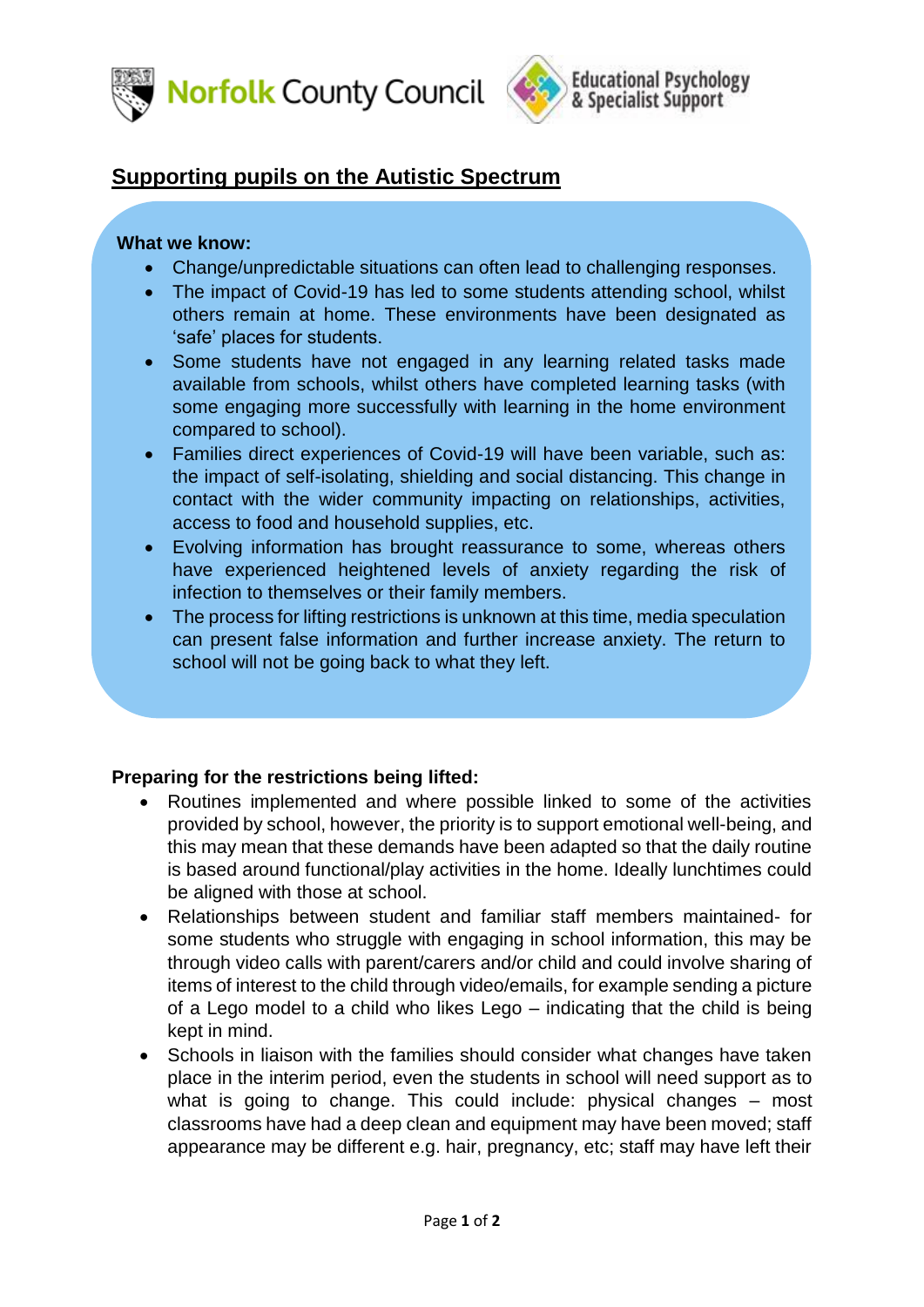



## **Supporting pupils on the Autistic Spectrum**

## **What we know:**

- Change/unpredictable situations can often lead to challenging responses.
- The impact of Covid-19 has led to some students attending school, whilst others remain at home. These environments have been designated as 'safe' places for students.
- Some students have not engaged in any learning related tasks made available from schools, whilst others have completed learning tasks (with some engaging more successfully with learning in the home environment compared to school).
- Families direct experiences of Covid-19 will have been variable, such as: the impact of self-isolating, shielding and social distancing. This change in contact with the wider community impacting on relationships, activities, access to food and household supplies, etc.
- Evolving information has brought reassurance to some, whereas others have experienced heightened levels of anxiety regarding the risk of infection to themselves or their family members.
- The process for lifting restrictions is unknown at this time, media speculation can present false information and further increase anxiety. The return to school will not be going back to what they left.

## **Preparing for the restrictions being lifted:**

- Routines implemented and where possible linked to some of the activities provided by school, however, the priority is to support emotional well-being, and this may mean that these demands have been adapted so that the daily routine is based around functional/play activities in the home. Ideally lunchtimes could be aligned with those at school.
- Relationships between student and familiar staff members maintained- for some students who struggle with engaging in school information, this may be through video calls with parent/carers and/or child and could involve sharing of items of interest to the child through video/emails, for example sending a picture of a Lego model to a child who likes Lego – indicating that the child is being kept in mind.
- Schools in liaison with the families should consider what changes have taken place in the interim period, even the students in school will need support as to what is going to change. This could include: physical changes – most classrooms have had a deep clean and equipment may have been moved; staff appearance may be different e.g. hair, pregnancy, etc; staff may have left their